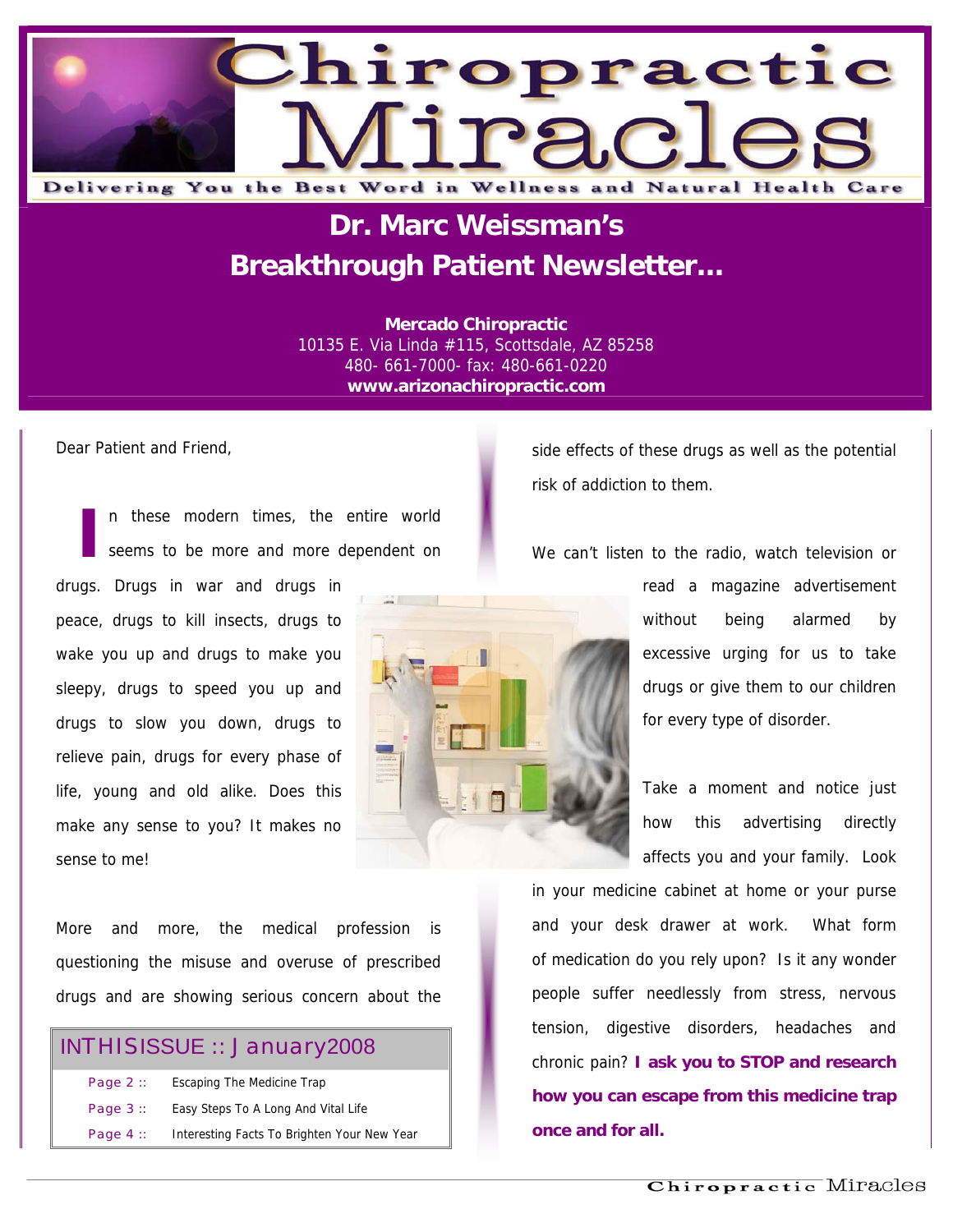

## **Dr. Marc Weissman's Breakthrough Patient Newsletter...**

**Mercado Chiropractic**  10135 E. Via Linda #115, Scottsdale, AZ 85258 480- 661-7000- fax: 480-661-0220 **www.arizonachiropractic.com**

Dear Patient and Friend,

I in these modern times, the entire world<br>
seems to be more and more dependent on seems to be more and more dependent on

drugs. Drugs in war and drugs in peace, drugs to kill insects, drugs to wake you up and drugs to make you sleepy, drugs to speed you up and drugs to slow you down, drugs to relieve pain, drugs for every phase of life, young and old alike. Does this make any sense to you? It makes no sense to me!

More and more, the medical profession is questioning the misuse and overuse of prescribed drugs and are showing serious concern about the

### INTHISISSUE :: January2008

| Page $2::$ | Escaping The Medicine Trap                  |
|------------|---------------------------------------------|
| Page $3:$  | Easy Steps To A Long And Vital Life         |
| Page $4::$ | Interesting Facts To Brighten Your New Year |

side effects of these drugs as well as the potential risk of addiction to them.

We can't listen to the radio, watch television or

read a magazine advertisement without being alarmed by excessive urging for us to take drugs or give them to our children for every type of disorder.

Take a moment and notice just how this advertising directly affects you and your family. Look

in your medicine cabinet at home or your purse and your desk drawer at work. What form of medication do you rely upon? Is it any wonder people suffer needlessly from stress, nervous tension, digestive disorders, headaches and chronic pain? **I ask you to STOP and research how you can escape from this medicine trap once and for all.** 

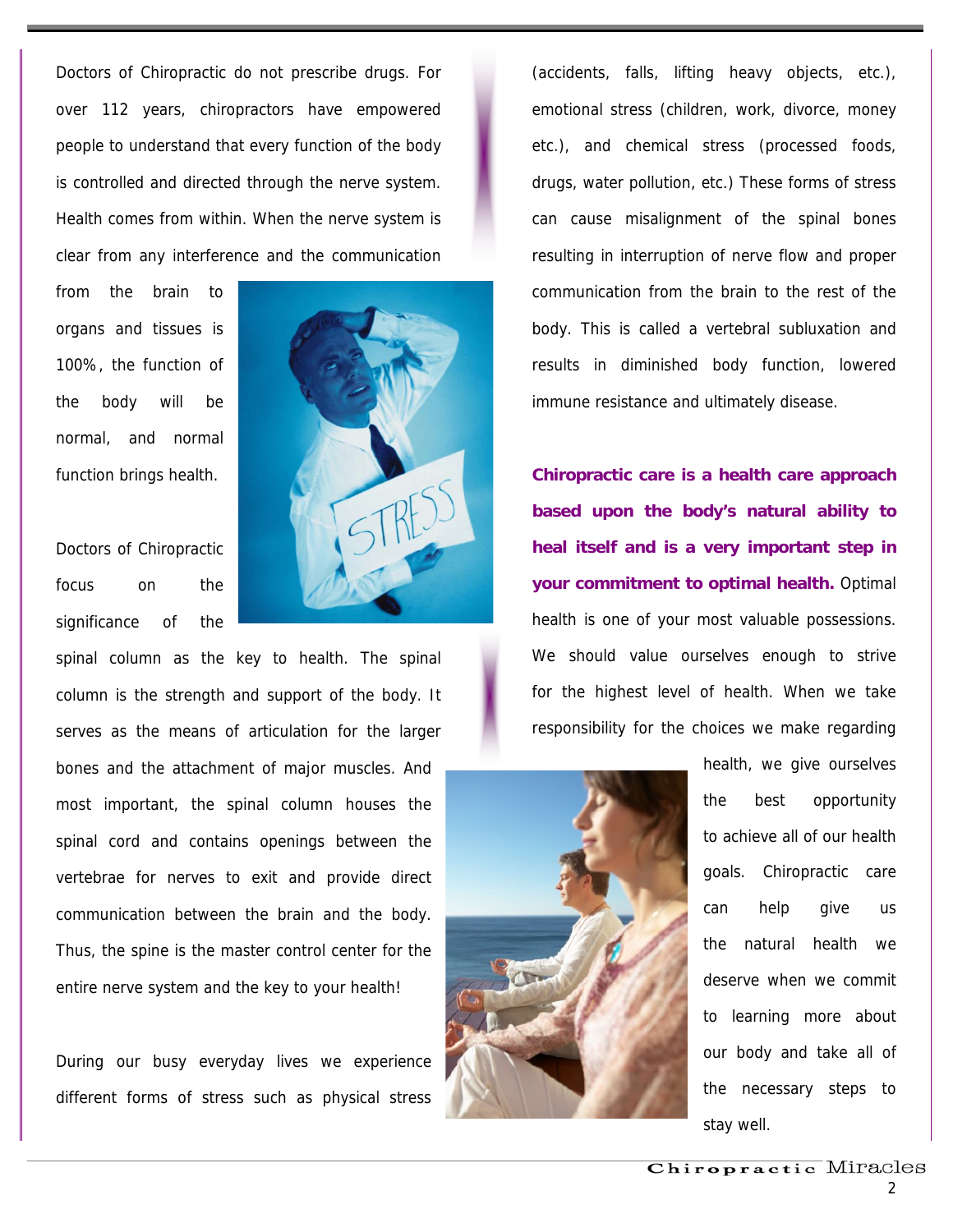Doctors of Chiropractic do not prescribe drugs. For over 112 years, chiropractors have empowered people to understand that every function of the body is controlled and directed through the nerve system. Health comes from within. When the nerve system is clear from any interference and the communication

from the brain to organs and tissues is 100%, the function of the body will be normal, and normal function brings health.

Doctors of Chiropractic focus on the significance of the



spinal column as the key to health. The spinal column is the strength and support of the body. It serves as the means of articulation for the larger bones and the attachment of major muscles. And most important, the spinal column houses the spinal cord and contains openings between the vertebrae for nerves to exit and provide direct communication between the brain and the body. Thus, the spine is the master control center for the entire nerve system and the key to your health!

During our busy everyday lives we experience different forms of stress such as physical stress

(accidents, falls, lifting heavy objects, etc.), emotional stress (children, work, divorce, money etc.), and chemical stress (processed foods, drugs, water pollution, etc.) These forms of stress can cause misalignment of the spinal bones resulting in interruption of nerve flow and proper communication from the brain to the rest of the body. This is called a vertebral subluxation and results in diminished body function, lowered immune resistance and ultimately disease.

**Chiropractic care is a health care approach based upon the body's natural ability to heal itself and is a very important step in your commitment to optimal health.** Optimal health is one of your most valuable possessions. We should value ourselves enough to strive for the highest level of health. When we take responsibility for the choices we make regarding



health, we give ourselves the best opportunity to achieve all of our health goals. Chiropractic care can help give us the natural health we deserve when we commit to learning more about our body and take all of the necessary steps to stay well.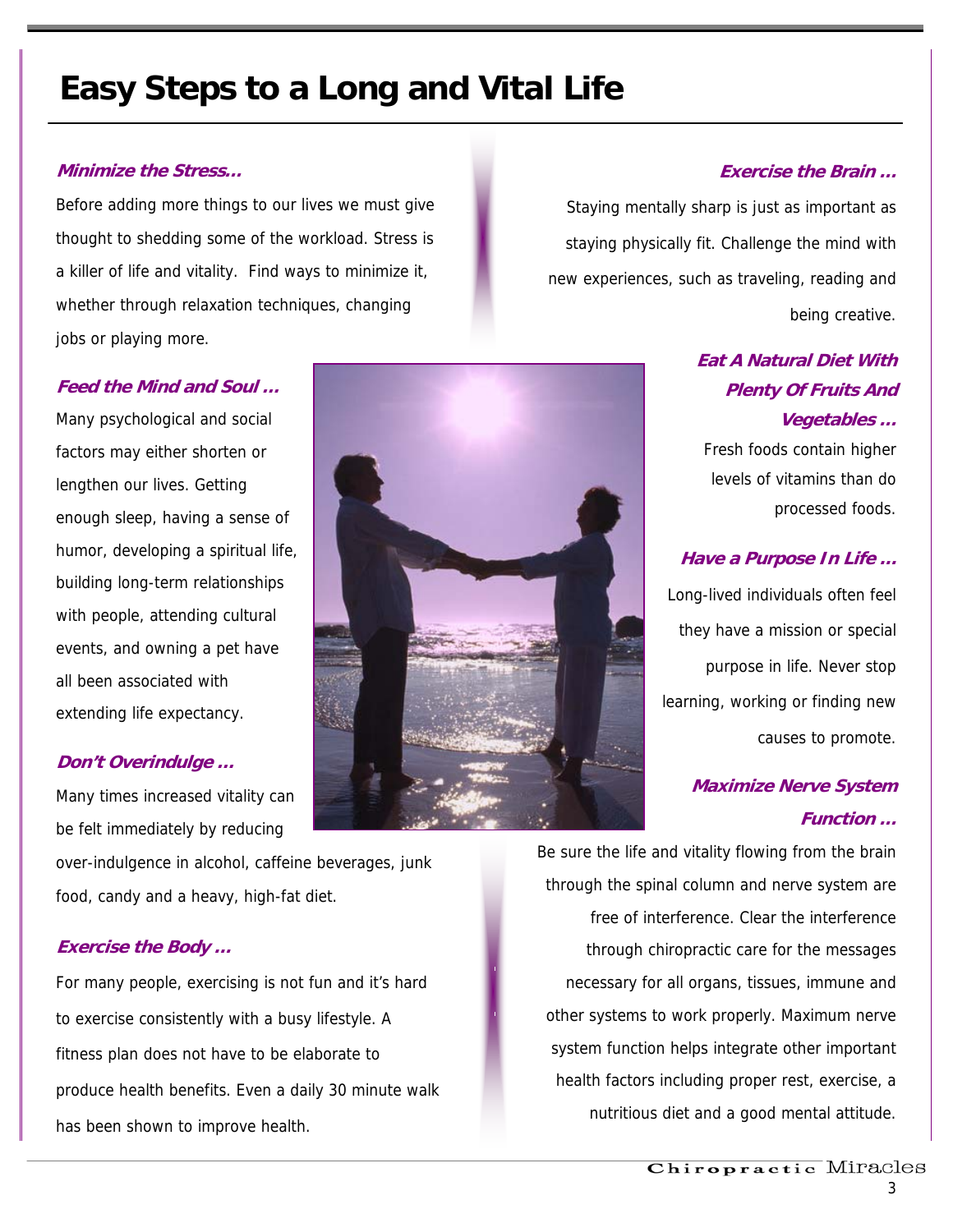# **Easy Steps to a Long and Vital Life**

#### **Minimize the Stress…**

Before adding more things to our lives we must give thought to shedding some of the workload. Stress is a killer of life and vitality. Find ways to minimize it, whether through relaxation techniques, changing jobs or playing more.

#### **Feed the Mind and Soul …**

Many psychological and social factors may either shorten or lengthen our lives. Getting enough sleep, having a sense of humor, developing a spiritual life, building long-term relationships with people, attending cultural events, and owning a pet have all been associated with extending life expectancy.

#### **Don't Overindulge …**

Many times increased vitality can be felt immediately by reducing

over-indulgence in alcohol, caffeine beverages, junk food, candy and a heavy, high-fat diet.

#### **Exercise the Body …**

For many people, exercising is not fun and it's hard to exercise consistently with a busy lifestyle. A fitness plan does not have to be elaborate to produce health benefits. Even a daily 30 minute walk has been shown to improve health.



#### **Exercise the Brain …**

Staying mentally sharp is just as important as staying physically fit. Challenge the mind with new experiences, such as traveling, reading and being creative.

## **Eat A Natural Diet With Plenty Of Fruits And Vegetables …**

Fresh foods contain higher levels of vitamins than do processed foods.

#### **Have a Purpose In Life …**

Long-lived individuals often feel they have a mission or special purpose in life. Never stop learning, working or finding new causes to promote.

### **Maximize Nerve System Function …**

Be sure the life and vitality flowing from the brain through the spinal column and nerve system are free of interference. Clear the interference through chiropractic care for the messages necessary for all organs, tissues, immune and other systems to work properly. Maximum nerve system function helps integrate other important health factors including proper rest, exercise, a nutritious diet and a good mental attitude.